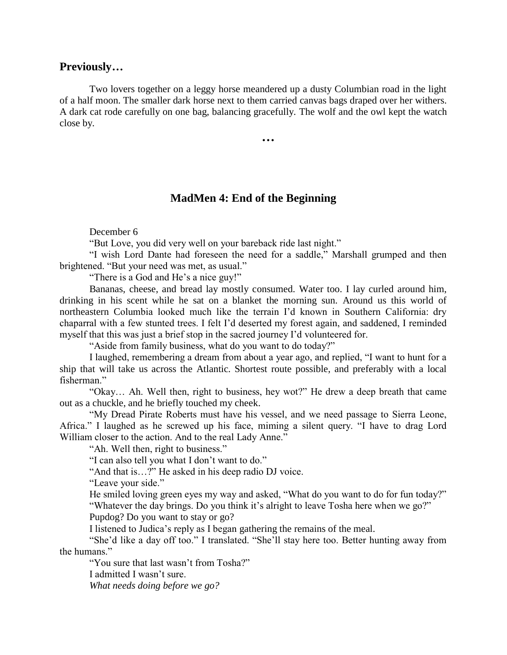## **Previously…**

Two lovers together on a leggy horse meandered up a dusty Columbian road in the light of a half moon. The smaller dark horse next to them carried canvas bags draped over her withers. A dark cat rode carefully on one bag, balancing gracefully. The wolf and the owl kept the watch close by.

**…**

## **MadMen 4: End of the Beginning**

December 6

"But Love, you did very well on your bareback ride last night."

"I wish Lord Dante had foreseen the need for a saddle," Marshall grumped and then brightened. "But your need was met, as usual."

"There is a God and He's a nice guy!"

Bananas, cheese, and bread lay mostly consumed. Water too. I lay curled around him, drinking in his scent while he sat on a blanket the morning sun. Around us this world of northeastern Columbia looked much like the terrain I'd known in Southern California: dry chaparral with a few stunted trees. I felt I'd deserted my forest again, and saddened, I reminded myself that this was just a brief stop in the sacred journey I'd volunteered for.

"Aside from family business, what do you want to do today?"

I laughed, remembering a dream from about a year ago, and replied, "I want to hunt for a ship that will take us across the Atlantic. Shortest route possible, and preferably with a local fisherman."

"Okay… Ah. Well then, right to business, hey wot?" He drew a deep breath that came out as a chuckle, and he briefly touched my cheek.

"My Dread Pirate Roberts must have his vessel, and we need passage to Sierra Leone, Africa." I laughed as he screwed up his face, miming a silent query. "I have to drag Lord William closer to the action. And to the real Lady Anne."

"Ah. Well then, right to business."

"I can also tell you what I don't want to do."

"And that is…?" He asked in his deep radio DJ voice.

"Leave your side."

He smiled loving green eyes my way and asked, "What do you want to do for fun today?" "Whatever the day brings. Do you think it's alright to leave Tosha here when we go?"

Pupdog? Do you want to stay or go?

I listened to Judica's reply as I began gathering the remains of the meal.

"She'd like a day off too." I translated. "She'll stay here too. Better hunting away from the humans."

"You sure that last wasn't from Tosha?"

I admitted I wasn't sure.

*What needs doing before we go?*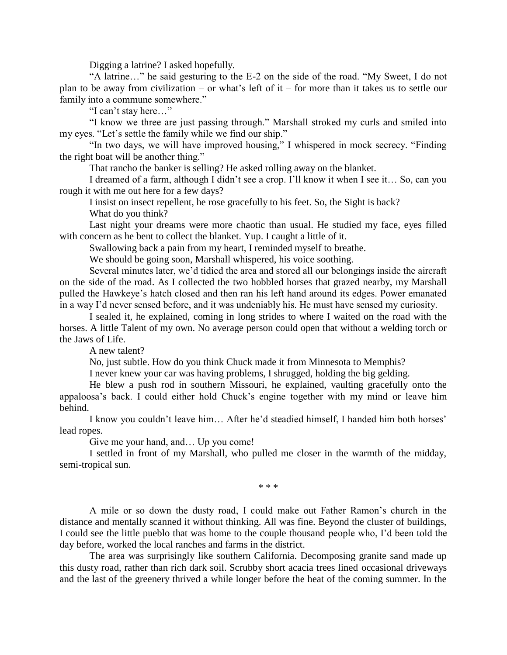Digging a latrine? I asked hopefully.

"A latrine…" he said gesturing to the E-2 on the side of the road. "My Sweet, I do not plan to be away from civilization – or what's left of it – for more than it takes us to settle our family into a commune somewhere."

"I can't stay here…"

"I know we three are just passing through." Marshall stroked my curls and smiled into my eyes. "Let's settle the family while we find our ship."

"In two days, we will have improved housing," I whispered in mock secrecy. "Finding the right boat will be another thing."

That rancho the banker is selling? He asked rolling away on the blanket.

I dreamed of a farm, although I didn't see a crop. I'll know it when I see it… So, can you rough it with me out here for a few days?

I insist on insect repellent, he rose gracefully to his feet. So, the Sight is back?

What do you think?

Last night your dreams were more chaotic than usual. He studied my face, eyes filled with concern as he bent to collect the blanket. Yup. I caught a little of it.

Swallowing back a pain from my heart, I reminded myself to breathe.

We should be going soon, Marshall whispered, his voice soothing.

Several minutes later, we'd tidied the area and stored all our belongings inside the aircraft on the side of the road. As I collected the two hobbled horses that grazed nearby, my Marshall pulled the Hawkeye's hatch closed and then ran his left hand around its edges. Power emanated in a way I'd never sensed before, and it was undeniably his. He must have sensed my curiosity.

I sealed it, he explained, coming in long strides to where I waited on the road with the horses. A little Talent of my own. No average person could open that without a welding torch or the Jaws of Life.

A new talent?

No, just subtle. How do you think Chuck made it from Minnesota to Memphis?

I never knew your car was having problems, I shrugged, holding the big gelding.

He blew a push rod in southern Missouri, he explained, vaulting gracefully onto the appaloosa's back. I could either hold Chuck's engine together with my mind or leave him behind.

I know you couldn't leave him… After he'd steadied himself, I handed him both horses' lead ropes.

Give me your hand, and... Up you come!

I settled in front of my Marshall, who pulled me closer in the warmth of the midday, semi-tropical sun.

\* \* \*

A mile or so down the dusty road, I could make out Father Ramon's church in the distance and mentally scanned it without thinking. All was fine. Beyond the cluster of buildings, I could see the little pueblo that was home to the couple thousand people who, I'd been told the day before, worked the local ranches and farms in the district.

The area was surprisingly like southern California. Decomposing granite sand made up this dusty road, rather than rich dark soil. Scrubby short acacia trees lined occasional driveways and the last of the greenery thrived a while longer before the heat of the coming summer. In the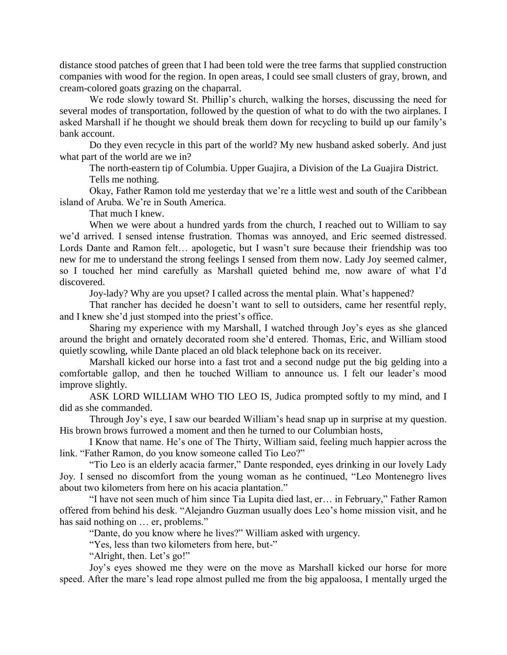distance stood patches of green that I had been told were the tree farms that supplied construction companies with wood for the region. In open areas, I could see small clusters of gray, brown, and cream-colored goats grazing on the chaparral.

We rode slowly toward St. Phillip's church, walking the horses, discussing the need for several modes of transportation, followed by the question of what to do with the two airplanes. I asked Marshall if he thought we should break them down for recycling to build up our family's bank account.

Do they even recycle in this part of the world? My new husband asked soberly. And just what part of the world are we in?

The north-eastern tip of Columbia. Upper Guajira, a Division of the La Guajira District. Tells me nothing.

Okay, Father Ramon told me yesterday that we're a little west and south of the Caribbean island of Aruba. We're in South America.

That much I knew.

When we were about a hundred yards from the church, I reached out to William to say we'd arrived. I sensed intense frustration. Thomas was annoyed, and Eric seemed distressed. Lords Dante and Ramon felt… apologetic, but I wasn't sure because their friendship was too new for me to understand the strong feelings I sensed from them now. Lady Joy seemed calmer, so I touched her mind carefully as Marshall quieted behind me, now aware of what I'd discovered.

Joy-lady? Why are you upset? I called across the mental plain. What's happened?

That rancher has decided he doesn't want to sell to outsiders, came her resentful reply, and I knew she'd just stomped into the priest's office.

Sharing my experience with my Marshall, I watched through Joy's eyes as she glanced around the bright and ornately decorated room she'd entered. Thomas, Eric, and William stood quietly scowling, while Dante placed an old black telephone back on its receiver.

Marshall kicked our horse into a fast trot and a second nudge put the big gelding into a comfortable gallop, and then he touched William to announce us. I felt our leader's mood improve slightly.

ASK LORD WILLIAM WHO TIO LEO IS, Judica prompted softly to my mind, and I did as she commanded.

Through Joy's eye, I saw our bearded William's head snap up in surprise at my question. His brown brows furrowed a moment and then he turned to our Columbian hosts,

I Know that name. He's one of The Thirty, William said, feeling much happier across the link. "Father Ramon, do you know someone called Tio Leo?"

"Tio Leo is an elderly acacia farmer," Dante responded, eyes drinking in our lovely Lady Joy. I sensed no discomfort from the young woman as he continued, "Leo Montenegro lives about two kilometers from here on his acacia plantation."

"I have not seen much of him since Tia Lupita died last, er… in February," Father Ramon offered from behind his desk. "Alejandro Guzman usually does Leo's home mission visit, and he has said nothing on … er, problems."

"Dante, do you know where he lives?" William asked with urgency.

"Yes, less than two kilometers from here, but-"

"Alright, then. Let's go!"

Joy's eyes showed me they were on the move as Marshall kicked our horse for more speed. After the mare's lead rope almost pulled me from the big appaloosa, I mentally urged the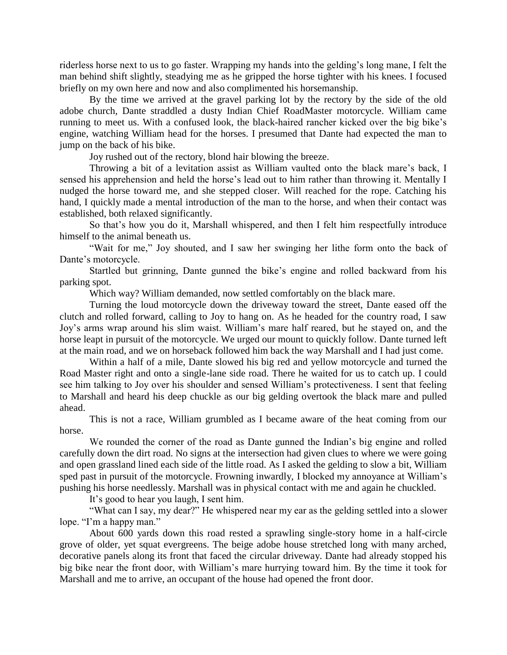riderless horse next to us to go faster. Wrapping my hands into the gelding's long mane, I felt the man behind shift slightly, steadying me as he gripped the horse tighter with his knees. I focused briefly on my own here and now and also complimented his horsemanship.

By the time we arrived at the gravel parking lot by the rectory by the side of the old adobe church, Dante straddled a dusty Indian Chief RoadMaster motorcycle. William came running to meet us. With a confused look, the black-haired rancher kicked over the big bike's engine, watching William head for the horses. I presumed that Dante had expected the man to jump on the back of his bike.

Joy rushed out of the rectory, blond hair blowing the breeze.

Throwing a bit of a levitation assist as William vaulted onto the black mare's back, I sensed his apprehension and held the horse's lead out to him rather than throwing it. Mentally I nudged the horse toward me, and she stepped closer. Will reached for the rope. Catching his hand, I quickly made a mental introduction of the man to the horse, and when their contact was established, both relaxed significantly.

So that's how you do it, Marshall whispered, and then I felt him respectfully introduce himself to the animal beneath us.

"Wait for me," Joy shouted, and I saw her swinging her lithe form onto the back of Dante's motorcycle.

Startled but grinning, Dante gunned the bike's engine and rolled backward from his parking spot.

Which way? William demanded, now settled comfortably on the black mare.

Turning the loud motorcycle down the driveway toward the street, Dante eased off the clutch and rolled forward, calling to Joy to hang on. As he headed for the country road, I saw Joy's arms wrap around his slim waist. William's mare half reared, but he stayed on, and the horse leapt in pursuit of the motorcycle. We urged our mount to quickly follow. Dante turned left at the main road, and we on horseback followed him back the way Marshall and I had just come.

Within a half of a mile, Dante slowed his big red and yellow motorcycle and turned the Road Master right and onto a single-lane side road. There he waited for us to catch up. I could see him talking to Joy over his shoulder and sensed William's protectiveness. I sent that feeling to Marshall and heard his deep chuckle as our big gelding overtook the black mare and pulled ahead.

This is not a race, William grumbled as I became aware of the heat coming from our horse.

We rounded the corner of the road as Dante gunned the Indian's big engine and rolled carefully down the dirt road. No signs at the intersection had given clues to where we were going and open grassland lined each side of the little road. As I asked the gelding to slow a bit, William sped past in pursuit of the motorcycle. Frowning inwardly, I blocked my annoyance at William's pushing his horse needlessly. Marshall was in physical contact with me and again he chuckled.

It's good to hear you laugh, I sent him.

"What can I say, my dear?" He whispered near my ear as the gelding settled into a slower lope. "I'm a happy man."

About 600 yards down this road rested a sprawling single-story home in a half-circle grove of older, yet squat evergreens. The beige adobe house stretched long with many arched, decorative panels along its front that faced the circular driveway. Dante had already stopped his big bike near the front door, with William's mare hurrying toward him. By the time it took for Marshall and me to arrive, an occupant of the house had opened the front door.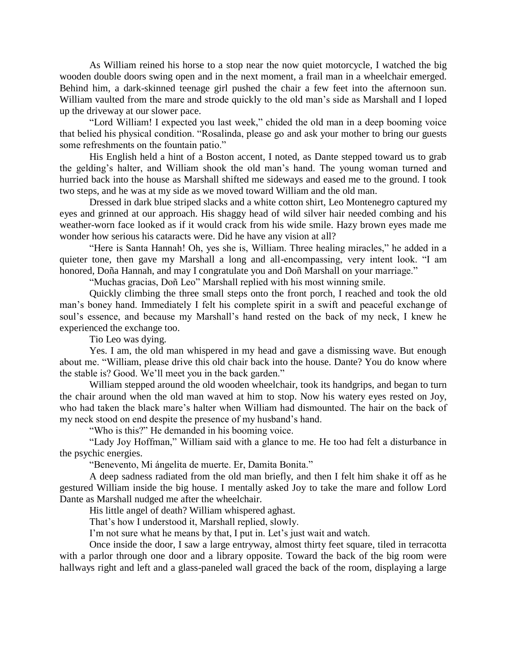As William reined his horse to a stop near the now quiet motorcycle, I watched the big wooden double doors swing open and in the next moment, a frail man in a wheelchair emerged. Behind him, a dark-skinned teenage girl pushed the chair a few feet into the afternoon sun. William vaulted from the mare and strode quickly to the old man's side as Marshall and I loped up the driveway at our slower pace.

"Lord William! I expected you last week," chided the old man in a deep booming voice that belied his physical condition. "Rosalinda, please go and ask your mother to bring our guests some refreshments on the fountain patio."

His English held a hint of a Boston accent, I noted, as Dante stepped toward us to grab the gelding's halter, and William shook the old man's hand. The young woman turned and hurried back into the house as Marshall shifted me sideways and eased me to the ground. I took two steps, and he was at my side as we moved toward William and the old man.

Dressed in dark blue striped slacks and a white cotton shirt, Leo Montenegro captured my eyes and grinned at our approach. His shaggy head of wild silver hair needed combing and his weather-worn face looked as if it would crack from his wide smile. Hazy brown eyes made me wonder how serious his cataracts were. Did he have any vision at all?

"Here is Santa Hannah! Oh, yes she is, William. Three healing miracles," he added in a quieter tone, then gave my Marshall a long and all-encompassing, very intent look. "I am honored, Doña Hannah, and may I congratulate you and Doñ Marshall on your marriage."

"Muchas gracias, Doñ Leo" Marshall replied with his most winning smile.

Quickly climbing the three small steps onto the front porch, I reached and took the old man's boney hand. Immediately I felt his complete spirit in a swift and peaceful exchange of soul's essence, and because my Marshall's hand rested on the back of my neck, I knew he experienced the exchange too.

Tio Leo was dying.

Yes. I am, the old man whispered in my head and gave a dismissing wave. But enough about me. "William, please drive this old chair back into the house. Dante? You do know where the stable is? Good. We'll meet you in the back garden."

William stepped around the old wooden wheelchair, took its handgrips, and began to turn the chair around when the old man waved at him to stop. Now his watery eyes rested on Joy, who had taken the black mare's halter when William had dismounted. The hair on the back of my neck stood on end despite the presence of my husband's hand.

"Who is this?" He demanded in his booming voice.

"Lady Joy Hoffman," William said with a glance to me. He too had felt a disturbance in the psychic energies.

"Benevento, Mi ángelita de muerte. Er, Damita Bonita."

A deep sadness radiated from the old man briefly, and then I felt him shake it off as he gestured William inside the big house. I mentally asked Joy to take the mare and follow Lord Dante as Marshall nudged me after the wheelchair.

His little angel of death? William whispered aghast.

That's how I understood it, Marshall replied, slowly.

I'm not sure what he means by that, I put in. Let's just wait and watch.

Once inside the door, I saw a large entryway, almost thirty feet square, tiled in terracotta with a parlor through one door and a library opposite. Toward the back of the big room were hallways right and left and a glass-paneled wall graced the back of the room, displaying a large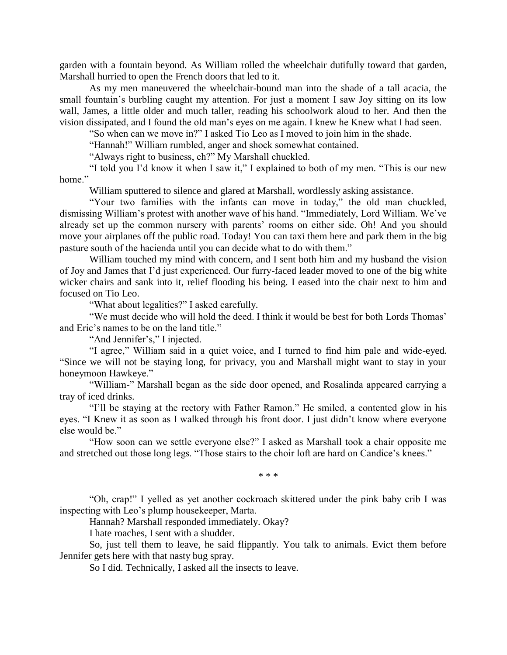garden with a fountain beyond. As William rolled the wheelchair dutifully toward that garden, Marshall hurried to open the French doors that led to it.

As my men maneuvered the wheelchair-bound man into the shade of a tall acacia, the small fountain's burbling caught my attention. For just a moment I saw Joy sitting on its low wall, James, a little older and much taller, reading his schoolwork aloud to her. And then the vision dissipated, and I found the old man's eyes on me again. I knew he Knew what I had seen.

"So when can we move in?" I asked Tio Leo as I moved to join him in the shade.

"Hannah!" William rumbled, anger and shock somewhat contained.

"Always right to business, eh?" My Marshall chuckled.

"I told you I'd know it when I saw it," I explained to both of my men. "This is our new home."

William sputtered to silence and glared at Marshall, wordlessly asking assistance.

"Your two families with the infants can move in today," the old man chuckled, dismissing William's protest with another wave of his hand. "Immediately, Lord William. We've already set up the common nursery with parents' rooms on either side. Oh! And you should move your airplanes off the public road. Today! You can taxi them here and park them in the big pasture south of the hacienda until you can decide what to do with them."

William touched my mind with concern, and I sent both him and my husband the vision of Joy and James that I'd just experienced. Our furry-faced leader moved to one of the big white wicker chairs and sank into it, relief flooding his being. I eased into the chair next to him and focused on Tio Leo.

"What about legalities?" I asked carefully.

"We must decide who will hold the deed. I think it would be best for both Lords Thomas' and Eric's names to be on the land title."

"And Jennifer's," I injected.

"I agree," William said in a quiet voice, and I turned to find him pale and wide-eyed. "Since we will not be staying long, for privacy, you and Marshall might want to stay in your honeymoon Hawkeye."

"William-" Marshall began as the side door opened, and Rosalinda appeared carrying a tray of iced drinks.

"I'll be staying at the rectory with Father Ramon." He smiled, a contented glow in his eyes. "I Knew it as soon as I walked through his front door. I just didn't know where everyone else would be."

"How soon can we settle everyone else?" I asked as Marshall took a chair opposite me and stretched out those long legs. "Those stairs to the choir loft are hard on Candice's knees."

\* \* \*

"Oh, crap!" I yelled as yet another cockroach skittered under the pink baby crib I was inspecting with Leo's plump housekeeper, Marta.

Hannah? Marshall responded immediately. Okay?

I hate roaches, I sent with a shudder.

So, just tell them to leave, he said flippantly. You talk to animals. Evict them before Jennifer gets here with that nasty bug spray.

So I did. Technically, I asked all the insects to leave.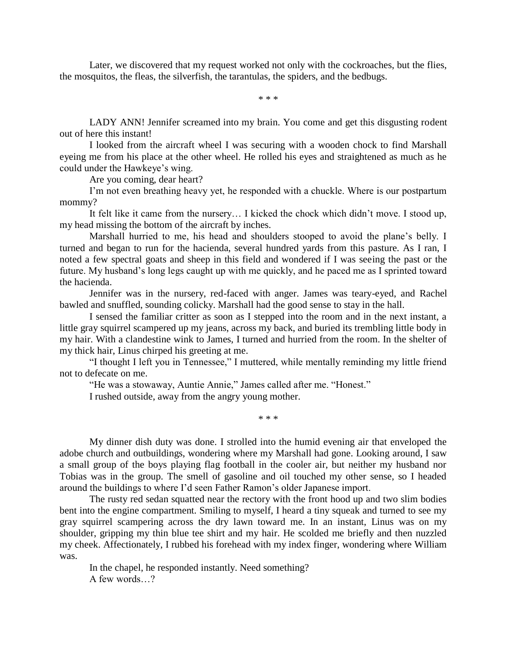Later, we discovered that my request worked not only with the cockroaches, but the flies, the mosquitos, the fleas, the silverfish, the tarantulas, the spiders, and the bedbugs.

\* \* \*

LADY ANN! Jennifer screamed into my brain. You come and get this disgusting rodent out of here this instant!

I looked from the aircraft wheel I was securing with a wooden chock to find Marshall eyeing me from his place at the other wheel. He rolled his eyes and straightened as much as he could under the Hawkeye's wing.

Are you coming, dear heart?

I'm not even breathing heavy yet, he responded with a chuckle. Where is our postpartum mommy?

It felt like it came from the nursery… I kicked the chock which didn't move. I stood up, my head missing the bottom of the aircraft by inches.

Marshall hurried to me, his head and shoulders stooped to avoid the plane's belly. I turned and began to run for the hacienda, several hundred yards from this pasture. As I ran, I noted a few spectral goats and sheep in this field and wondered if I was seeing the past or the future. My husband's long legs caught up with me quickly, and he paced me as I sprinted toward the hacienda.

Jennifer was in the nursery, red-faced with anger. James was teary-eyed, and Rachel bawled and snuffled, sounding colicky. Marshall had the good sense to stay in the hall.

I sensed the familiar critter as soon as I stepped into the room and in the next instant, a little gray squirrel scampered up my jeans, across my back, and buried its trembling little body in my hair. With a clandestine wink to James, I turned and hurried from the room. In the shelter of my thick hair, Linus chirped his greeting at me.

"I thought I left you in Tennessee," I muttered, while mentally reminding my little friend not to defecate on me.

"He was a stowaway, Auntie Annie," James called after me. "Honest."

I rushed outside, away from the angry young mother.

\* \* \*

My dinner dish duty was done. I strolled into the humid evening air that enveloped the adobe church and outbuildings, wondering where my Marshall had gone. Looking around, I saw a small group of the boys playing flag football in the cooler air, but neither my husband nor Tobias was in the group. The smell of gasoline and oil touched my other sense, so I headed around the buildings to where I'd seen Father Ramon's older Japanese import.

The rusty red sedan squatted near the rectory with the front hood up and two slim bodies bent into the engine compartment. Smiling to myself, I heard a tiny squeak and turned to see my gray squirrel scampering across the dry lawn toward me. In an instant, Linus was on my shoulder, gripping my thin blue tee shirt and my hair. He scolded me briefly and then nuzzled my cheek. Affectionately, I rubbed his forehead with my index finger, wondering where William was.

In the chapel, he responded instantly. Need something? A few words…?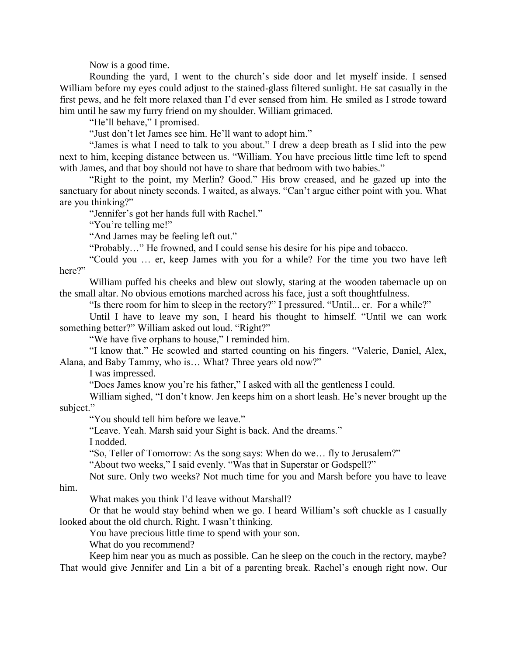Now is a good time.

Rounding the yard, I went to the church's side door and let myself inside. I sensed William before my eyes could adjust to the stained-glass filtered sunlight. He sat casually in the first pews, and he felt more relaxed than I'd ever sensed from him. He smiled as I strode toward him until he saw my furry friend on my shoulder. William grimaced.

"He'll behave," I promised.

"Just don't let James see him. He'll want to adopt him."

"James is what I need to talk to you about." I drew a deep breath as I slid into the pew next to him, keeping distance between us. "William. You have precious little time left to spend with James, and that boy should not have to share that bedroom with two babies."

"Right to the point, my Merlin? Good." His brow creased, and he gazed up into the sanctuary for about ninety seconds. I waited, as always. "Can't argue either point with you. What are you thinking?"

"Jennifer's got her hands full with Rachel."

"You're telling me!"

"And James may be feeling left out."

"Probably…" He frowned, and I could sense his desire for his pipe and tobacco.

"Could you … er, keep James with you for a while? For the time you two have left here?"

William puffed his cheeks and blew out slowly, staring at the wooden tabernacle up on the small altar. No obvious emotions marched across his face, just a soft thoughtfulness.

"Is there room for him to sleep in the rectory?" I pressured. "Until... er. For a while?"

Until I have to leave my son, I heard his thought to himself. "Until we can work something better?" William asked out loud. "Right?"

"We have five orphans to house," I reminded him.

"I know that." He scowled and started counting on his fingers. "Valerie, Daniel, Alex, Alana, and Baby Tammy, who is… What? Three years old now?"

I was impressed.

"Does James know you're his father," I asked with all the gentleness I could.

William sighed, "I don't know. Jen keeps him on a short leash. He's never brought up the subject."

"You should tell him before we leave."

"Leave. Yeah. Marsh said your Sight is back. And the dreams."

I nodded.

"So, Teller of Tomorrow: As the song says: When do we… fly to Jerusalem?"

"About two weeks," I said evenly. "Was that in Superstar or Godspell?"

Not sure. Only two weeks? Not much time for you and Marsh before you have to leave him.

What makes you think I'd leave without Marshall?

Or that he would stay behind when we go. I heard William's soft chuckle as I casually looked about the old church. Right. I wasn't thinking.

You have precious little time to spend with your son.

What do you recommend?

Keep him near you as much as possible. Can he sleep on the couch in the rectory, maybe? That would give Jennifer and Lin a bit of a parenting break. Rachel's enough right now. Our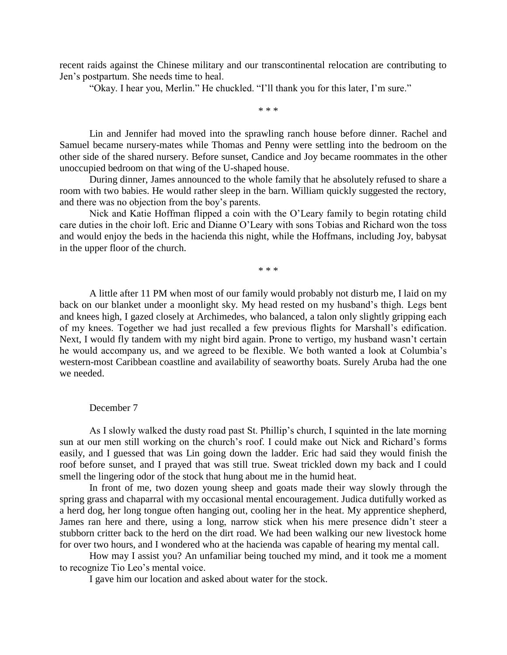recent raids against the Chinese military and our transcontinental relocation are contributing to Jen's postpartum. She needs time to heal.

"Okay. I hear you, Merlin." He chuckled. "I'll thank you for this later, I'm sure."

\* \* \*

Lin and Jennifer had moved into the sprawling ranch house before dinner. Rachel and Samuel became nursery-mates while Thomas and Penny were settling into the bedroom on the other side of the shared nursery. Before sunset, Candice and Joy became roommates in the other unoccupied bedroom on that wing of the U-shaped house.

During dinner, James announced to the whole family that he absolutely refused to share a room with two babies. He would rather sleep in the barn. William quickly suggested the rectory, and there was no objection from the boy's parents.

Nick and Katie Hoffman flipped a coin with the O'Leary family to begin rotating child care duties in the choir loft. Eric and Dianne O'Leary with sons Tobias and Richard won the toss and would enjoy the beds in the hacienda this night, while the Hoffmans, including Joy, babysat in the upper floor of the church.

\* \* \*

A little after 11 PM when most of our family would probably not disturb me, I laid on my back on our blanket under a moonlight sky. My head rested on my husband's thigh. Legs bent and knees high, I gazed closely at Archimedes, who balanced, a talon only slightly gripping each of my knees. Together we had just recalled a few previous flights for Marshall's edification. Next, I would fly tandem with my night bird again. Prone to vertigo, my husband wasn't certain he would accompany us, and we agreed to be flexible. We both wanted a look at Columbia's western-most Caribbean coastline and availability of seaworthy boats. Surely Aruba had the one we needed.

## December 7

As I slowly walked the dusty road past St. Phillip's church, I squinted in the late morning sun at our men still working on the church's roof. I could make out Nick and Richard's forms easily, and I guessed that was Lin going down the ladder. Eric had said they would finish the roof before sunset, and I prayed that was still true. Sweat trickled down my back and I could smell the lingering odor of the stock that hung about me in the humid heat.

In front of me, two dozen young sheep and goats made their way slowly through the spring grass and chaparral with my occasional mental encouragement. Judica dutifully worked as a herd dog, her long tongue often hanging out, cooling her in the heat. My apprentice shepherd, James ran here and there, using a long, narrow stick when his mere presence didn't steer a stubborn critter back to the herd on the dirt road. We had been walking our new livestock home for over two hours, and I wondered who at the hacienda was capable of hearing my mental call.

How may I assist you? An unfamiliar being touched my mind, and it took me a moment to recognize Tio Leo's mental voice.

I gave him our location and asked about water for the stock.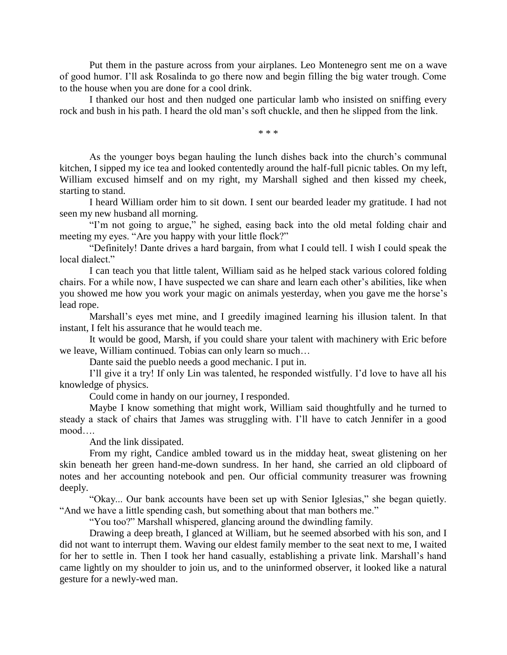Put them in the pasture across from your airplanes. Leo Montenegro sent me on a wave of good humor. I'll ask Rosalinda to go there now and begin filling the big water trough. Come to the house when you are done for a cool drink.

I thanked our host and then nudged one particular lamb who insisted on sniffing every rock and bush in his path. I heard the old man's soft chuckle, and then he slipped from the link.

\* \* \*

As the younger boys began hauling the lunch dishes back into the church's communal kitchen, I sipped my ice tea and looked contentedly around the half-full picnic tables. On my left, William excused himself and on my right, my Marshall sighed and then kissed my cheek, starting to stand.

I heard William order him to sit down. I sent our bearded leader my gratitude. I had not seen my new husband all morning.

"I'm not going to argue," he sighed, easing back into the old metal folding chair and meeting my eyes. "Are you happy with your little flock?"

"Definitely! Dante drives a hard bargain, from what I could tell. I wish I could speak the local dialect."

I can teach you that little talent, William said as he helped stack various colored folding chairs. For a while now, I have suspected we can share and learn each other's abilities, like when you showed me how you work your magic on animals yesterday, when you gave me the horse's lead rope.

Marshall's eyes met mine, and I greedily imagined learning his illusion talent. In that instant, I felt his assurance that he would teach me.

It would be good, Marsh, if you could share your talent with machinery with Eric before we leave, William continued. Tobias can only learn so much…

Dante said the pueblo needs a good mechanic. I put in.

I'll give it a try! If only Lin was talented, he responded wistfully. I'd love to have all his knowledge of physics.

Could come in handy on our journey, I responded.

Maybe I know something that might work, William said thoughtfully and he turned to steady a stack of chairs that James was struggling with. I'll have to catch Jennifer in a good mood….

And the link dissipated.

From my right, Candice ambled toward us in the midday heat, sweat glistening on her skin beneath her green hand-me-down sundress. In her hand, she carried an old clipboard of notes and her accounting notebook and pen. Our official community treasurer was frowning deeply.

"Okay... Our bank accounts have been set up with Senior Iglesias," she began quietly. "And we have a little spending cash, but something about that man bothers me."

"You too?" Marshall whispered, glancing around the dwindling family.

Drawing a deep breath, I glanced at William, but he seemed absorbed with his son, and I did not want to interrupt them. Waving our eldest family member to the seat next to me, I waited for her to settle in. Then I took her hand casually, establishing a private link. Marshall's hand came lightly on my shoulder to join us, and to the uninformed observer, it looked like a natural gesture for a newly-wed man.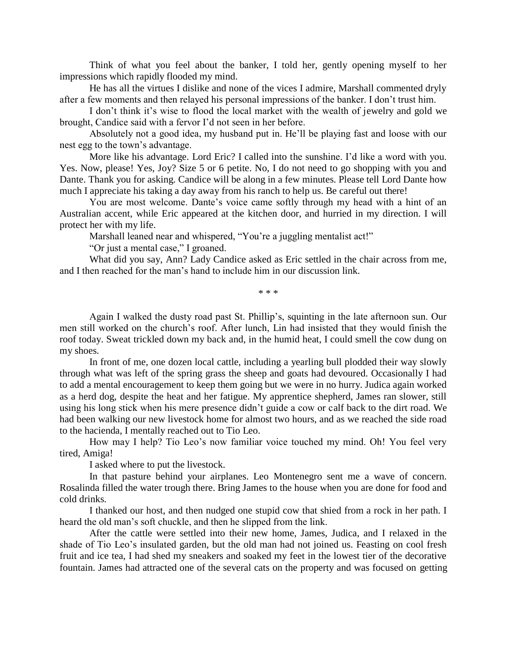Think of what you feel about the banker, I told her, gently opening myself to her impressions which rapidly flooded my mind.

He has all the virtues I dislike and none of the vices I admire, Marshall commented dryly after a few moments and then relayed his personal impressions of the banker. I don't trust him.

I don't think it's wise to flood the local market with the wealth of jewelry and gold we brought, Candice said with a fervor I'd not seen in her before.

Absolutely not a good idea, my husband put in. He'll be playing fast and loose with our nest egg to the town's advantage.

More like his advantage. Lord Eric? I called into the sunshine. I'd like a word with you. Yes. Now, please! Yes, Joy? Size 5 or 6 petite. No, I do not need to go shopping with you and Dante. Thank you for asking. Candice will be along in a few minutes. Please tell Lord Dante how much I appreciate his taking a day away from his ranch to help us. Be careful out there!

You are most welcome. Dante's voice came softly through my head with a hint of an Australian accent, while Eric appeared at the kitchen door, and hurried in my direction. I will protect her with my life.

Marshall leaned near and whispered, "You're a juggling mentalist act!"

"Or just a mental case," I groaned.

What did you say, Ann? Lady Candice asked as Eric settled in the chair across from me, and I then reached for the man's hand to include him in our discussion link.

\* \* \*

Again I walked the dusty road past St. Phillip's, squinting in the late afternoon sun. Our men still worked on the church's roof. After lunch, Lin had insisted that they would finish the roof today. Sweat trickled down my back and, in the humid heat, I could smell the cow dung on my shoes.

In front of me, one dozen local cattle, including a yearling bull plodded their way slowly through what was left of the spring grass the sheep and goats had devoured. Occasionally I had to add a mental encouragement to keep them going but we were in no hurry. Judica again worked as a herd dog, despite the heat and her fatigue. My apprentice shepherd, James ran slower, still using his long stick when his mere presence didn't guide a cow or calf back to the dirt road. We had been walking our new livestock home for almost two hours, and as we reached the side road to the hacienda, I mentally reached out to Tio Leo.

How may I help? Tio Leo's now familiar voice touched my mind. Oh! You feel very tired, Amiga!

I asked where to put the livestock.

In that pasture behind your airplanes. Leo Montenegro sent me a wave of concern. Rosalinda filled the water trough there. Bring James to the house when you are done for food and cold drinks.

I thanked our host, and then nudged one stupid cow that shied from a rock in her path. I heard the old man's soft chuckle, and then he slipped from the link.

After the cattle were settled into their new home, James, Judica, and I relaxed in the shade of Tio Leo's insulated garden, but the old man had not joined us. Feasting on cool fresh fruit and ice tea, I had shed my sneakers and soaked my feet in the lowest tier of the decorative fountain. James had attracted one of the several cats on the property and was focused on getting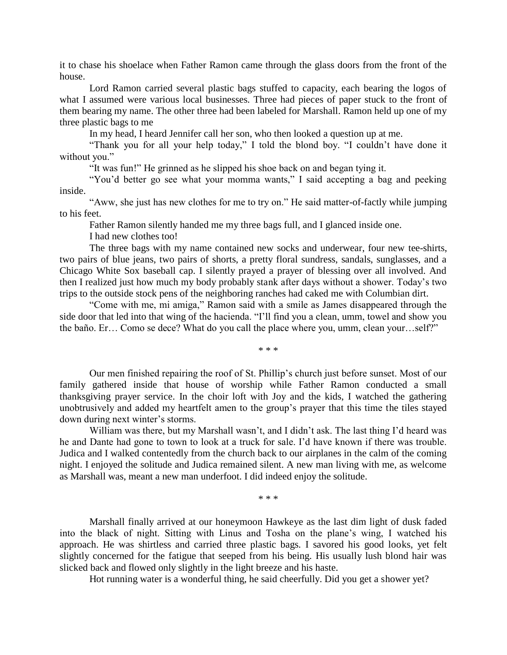it to chase his shoelace when Father Ramon came through the glass doors from the front of the house.

Lord Ramon carried several plastic bags stuffed to capacity, each bearing the logos of what I assumed were various local businesses. Three had pieces of paper stuck to the front of them bearing my name. The other three had been labeled for Marshall. Ramon held up one of my three plastic bags to me

In my head, I heard Jennifer call her son, who then looked a question up at me.

"Thank you for all your help today," I told the blond boy. "I couldn't have done it without you."

"It was fun!" He grinned as he slipped his shoe back on and began tying it.

"You'd better go see what your momma wants," I said accepting a bag and peeking inside.

"Aww, she just has new clothes for me to try on." He said matter-of-factly while jumping to his feet.

Father Ramon silently handed me my three bags full, and I glanced inside one.

I had new clothes too!

The three bags with my name contained new socks and underwear, four new tee-shirts, two pairs of blue jeans, two pairs of shorts, a pretty floral sundress, sandals, sunglasses, and a Chicago White Sox baseball cap. I silently prayed a prayer of blessing over all involved. And then I realized just how much my body probably stank after days without a shower. Today's two trips to the outside stock pens of the neighboring ranches had caked me with Columbian dirt.

"Come with me, mi amiga," Ramon said with a smile as James disappeared through the side door that led into that wing of the hacienda. "I'll find you a clean, umm, towel and show you the baño. Er… Como se dece? What do you call the place where you, umm, clean your…self?"

\* \* \*

Our men finished repairing the roof of St. Phillip's church just before sunset. Most of our family gathered inside that house of worship while Father Ramon conducted a small thanksgiving prayer service. In the choir loft with Joy and the kids, I watched the gathering unobtrusively and added my heartfelt amen to the group's prayer that this time the tiles stayed down during next winter's storms.

William was there, but my Marshall wasn't, and I didn't ask. The last thing I'd heard was he and Dante had gone to town to look at a truck for sale. I'd have known if there was trouble. Judica and I walked contentedly from the church back to our airplanes in the calm of the coming night. I enjoyed the solitude and Judica remained silent. A new man living with me, as welcome as Marshall was, meant a new man underfoot. I did indeed enjoy the solitude.

\* \* \*

Marshall finally arrived at our honeymoon Hawkeye as the last dim light of dusk faded into the black of night. Sitting with Linus and Tosha on the plane's wing, I watched his approach. He was shirtless and carried three plastic bags. I savored his good looks, yet felt slightly concerned for the fatigue that seeped from his being. His usually lush blond hair was slicked back and flowed only slightly in the light breeze and his haste.

Hot running water is a wonderful thing, he said cheerfully. Did you get a shower yet?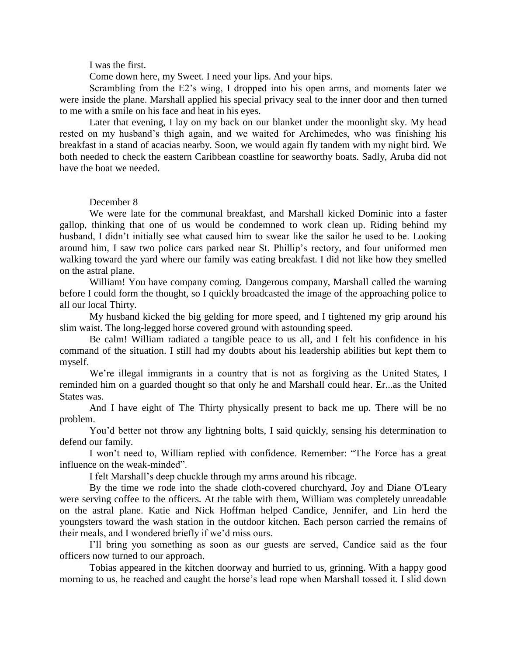I was the first.

Come down here, my Sweet. I need your lips. And your hips.

Scrambling from the E2's wing, I dropped into his open arms, and moments later we were inside the plane. Marshall applied his special privacy seal to the inner door and then turned to me with a smile on his face and heat in his eyes.

Later that evening, I lay on my back on our blanket under the moonlight sky. My head rested on my husband's thigh again, and we waited for Archimedes, who was finishing his breakfast in a stand of acacias nearby. Soon, we would again fly tandem with my night bird. We both needed to check the eastern Caribbean coastline for seaworthy boats. Sadly, Aruba did not have the boat we needed.

## December 8

We were late for the communal breakfast, and Marshall kicked Dominic into a faster gallop, thinking that one of us would be condemned to work clean up. Riding behind my husband, I didn't initially see what caused him to swear like the sailor he used to be. Looking around him, I saw two police cars parked near St. Phillip's rectory, and four uniformed men walking toward the yard where our family was eating breakfast. I did not like how they smelled on the astral plane.

William! You have company coming. Dangerous company, Marshall called the warning before I could form the thought, so I quickly broadcasted the image of the approaching police to all our local Thirty.

My husband kicked the big gelding for more speed, and I tightened my grip around his slim waist. The long-legged horse covered ground with astounding speed.

Be calm! William radiated a tangible peace to us all, and I felt his confidence in his command of the situation. I still had my doubts about his leadership abilities but kept them to myself.

We're illegal immigrants in a country that is not as forgiving as the United States, I reminded him on a guarded thought so that only he and Marshall could hear. Er...as the United States was.

And I have eight of The Thirty physically present to back me up. There will be no problem.

You'd better not throw any lightning bolts, I said quickly, sensing his determination to defend our family.

I won't need to, William replied with confidence. Remember: "The Force has a great influence on the weak-minded".

I felt Marshall's deep chuckle through my arms around his ribcage.

By the time we rode into the shade cloth-covered churchyard, Joy and Diane O'Leary were serving coffee to the officers. At the table with them, William was completely unreadable on the astral plane. Katie and Nick Hoffman helped Candice, Jennifer, and Lin herd the youngsters toward the wash station in the outdoor kitchen. Each person carried the remains of their meals, and I wondered briefly if we'd miss ours.

I'll bring you something as soon as our guests are served, Candice said as the four officers now turned to our approach.

Tobias appeared in the kitchen doorway and hurried to us, grinning. With a happy good morning to us, he reached and caught the horse's lead rope when Marshall tossed it. I slid down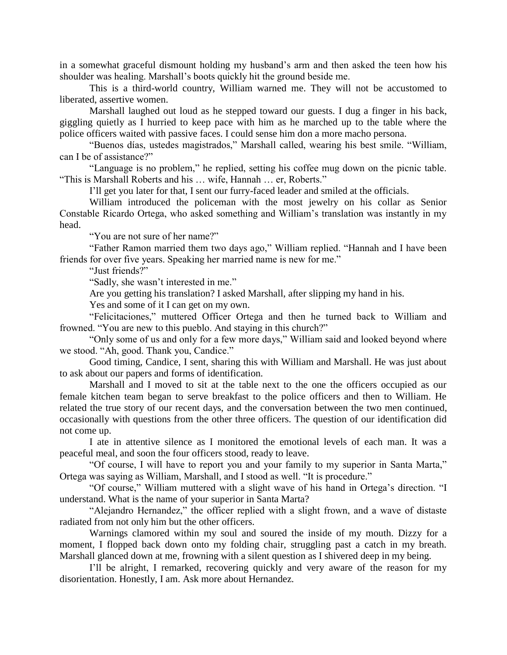in a somewhat graceful dismount holding my husband's arm and then asked the teen how his shoulder was healing. Marshall's boots quickly hit the ground beside me.

This is a third-world country, William warned me. They will not be accustomed to liberated, assertive women.

Marshall laughed out loud as he stepped toward our guests. I dug a finger in his back, giggling quietly as I hurried to keep pace with him as he marched up to the table where the police officers waited with passive faces. I could sense him don a more macho persona.

"Buenos días, ustedes magistrados," Marshall called, wearing his best smile. "William, can I be of assistance?"

"Language is no problem," he replied, setting his coffee mug down on the picnic table. "This is Marshall Roberts and his … wife, Hannah … er, Roberts."

I'll get you later for that, I sent our furry-faced leader and smiled at the officials.

William introduced the policeman with the most jewelry on his collar as Senior Constable Ricardo Ortega, who asked something and William's translation was instantly in my head.

"You are not sure of her name?"

"Father Ramon married them two days ago," William replied. "Hannah and I have been friends for over five years. Speaking her married name is new for me."

"Just friends?"

"Sadly, she wasn't interested in me."

Are you getting his translation? I asked Marshall, after slipping my hand in his.

Yes and some of it I can get on my own.

"Felicitaciones," muttered Officer Ortega and then he turned back to William and frowned. "You are new to this pueblo. And staying in this church?"

"Only some of us and only for a few more days," William said and looked beyond where we stood. "Ah, good. Thank you, Candice."

Good timing, Candice, I sent, sharing this with William and Marshall. He was just about to ask about our papers and forms of identification.

Marshall and I moved to sit at the table next to the one the officers occupied as our female kitchen team began to serve breakfast to the police officers and then to William. He related the true story of our recent days, and the conversation between the two men continued, occasionally with questions from the other three officers. The question of our identification did not come up.

I ate in attentive silence as I monitored the emotional levels of each man. It was a peaceful meal, and soon the four officers stood, ready to leave.

"Of course, I will have to report you and your family to my superior in Santa Marta," Ortega was saying as William, Marshall, and I stood as well. "It is procedure."

"Of course," William muttered with a slight wave of his hand in Ortega's direction. "I understand. What is the name of your superior in Santa Marta?

"Alejandro Hernandez," the officer replied with a slight frown, and a wave of distaste radiated from not only him but the other officers.

Warnings clamored within my soul and soured the inside of my mouth. Dizzy for a moment, I flopped back down onto my folding chair, struggling past a catch in my breath. Marshall glanced down at me, frowning with a silent question as I shivered deep in my being.

I'll be alright, I remarked, recovering quickly and very aware of the reason for my disorientation. Honestly, I am. Ask more about Hernandez.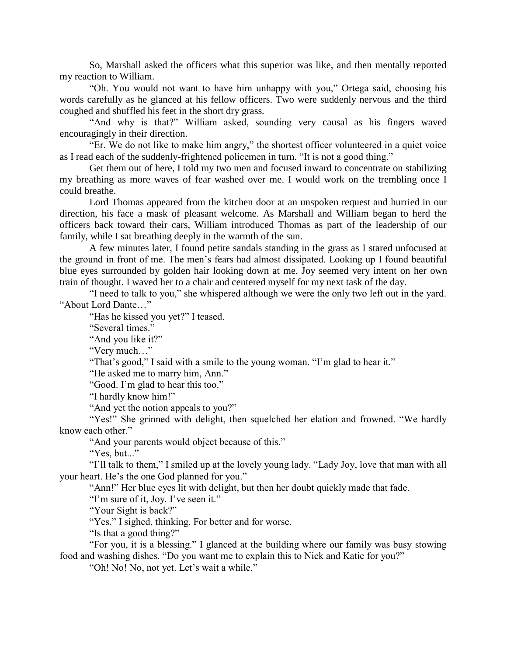So, Marshall asked the officers what this superior was like, and then mentally reported my reaction to William.

"Oh. You would not want to have him unhappy with you," Ortega said, choosing his words carefully as he glanced at his fellow officers. Two were suddenly nervous and the third coughed and shuffled his feet in the short dry grass.

"And why is that?" William asked, sounding very causal as his fingers waved encouragingly in their direction.

"Er. We do not like to make him angry," the shortest officer volunteered in a quiet voice as I read each of the suddenly-frightened policemen in turn. "It is not a good thing."

Get them out of here, I told my two men and focused inward to concentrate on stabilizing my breathing as more waves of fear washed over me. I would work on the trembling once I could breathe.

Lord Thomas appeared from the kitchen door at an unspoken request and hurried in our direction, his face a mask of pleasant welcome. As Marshall and William began to herd the officers back toward their cars, William introduced Thomas as part of the leadership of our family, while I sat breathing deeply in the warmth of the sun.

A few minutes later, I found petite sandals standing in the grass as I stared unfocused at the ground in front of me. The men's fears had almost dissipated. Looking up I found beautiful blue eyes surrounded by golden hair looking down at me. Joy seemed very intent on her own train of thought. I waved her to a chair and centered myself for my next task of the day.

"I need to talk to you," she whispered although we were the only two left out in the yard. "About Lord Dante…"

"Has he kissed you yet?" I teased.

"Several times."

"And you like it?"

"Very much…"

"That's good," I said with a smile to the young woman. "I'm glad to hear it."

"He asked me to marry him, Ann."

"Good. I'm glad to hear this too."

"I hardly know him!"

"And yet the notion appeals to you?"

"Yes!" She grinned with delight, then squelched her elation and frowned. "We hardly know each other."

"And your parents would object because of this."

"Yes, but..."

"I'll talk to them," I smiled up at the lovely young lady. "Lady Joy, love that man with all your heart. He's the one God planned for you."

"Ann!" Her blue eyes lit with delight, but then her doubt quickly made that fade.

"I'm sure of it, Joy. I've seen it."

"Your Sight is back?"

"Yes." I sighed, thinking, For better and for worse.

"Is that a good thing?"

"For you, it is a blessing." I glanced at the building where our family was busy stowing food and washing dishes. "Do you want me to explain this to Nick and Katie for you?"

"Oh! No! No, not yet. Let's wait a while."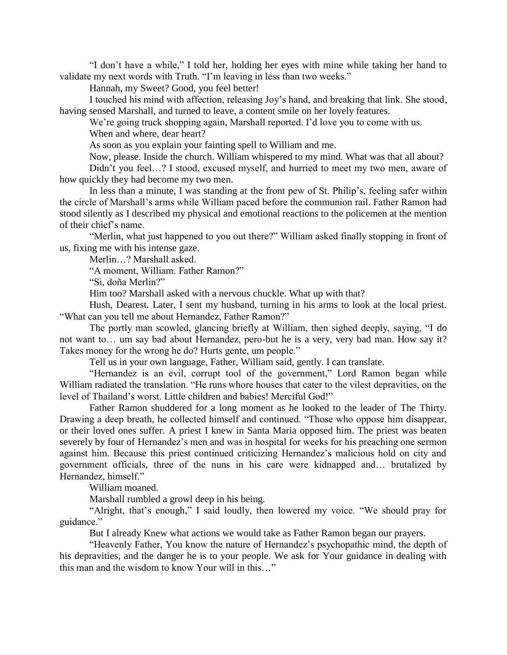"I don't have a while," I told her, holding her eyes with mine while taking her hand to validate my next words with Truth. "I'm leaving in less than two weeks."

Hannah, my Sweet? Good, you feel better!

I touched his mind with affection, releasing Joy's hand, and breaking that link. She stood, having sensed Marshall, and turned to leave, a content smile on her lovely features.

We're going truck shopping again, Marshall reported. I'd love you to come with us.

When and where, dear heart?

As soon as you explain your fainting spell to William and me.

Now, please. Inside the church. William whispered to my mind. What was that all about?

Didn't you feel…? I stood, excused myself, and hurried to meet my two men, aware of how quickly they had become my two men.

In less than a minute, I was standing at the front pew of St. Philip's, feeling safer within the circle of Marshall's arms while William paced before the communion rail. Father Ramon had stood silently as I described my physical and emotional reactions to the policemen at the mention of their chief's name.

"Merlin, what just happened to you out there?" William asked finally stopping in front of us, fixing me with his intense gaze.

Merlin…? Marshall asked.

"A moment, William. Father Ramon?"

"Si, doña Merlin?"

Him too? Marshall asked with a nervous chuckle. What up with that?

Hush, Dearest. Later, I sent my husband, turning in his arms to look at the local priest. "What can you tell me about Hernandez, Father Ramon?"

The portly man scowled, glancing briefly at William, then sighed deeply, saying, "I do not want to… um say bad about Hernandez, pero-but he is a very, very bad man. How say it? Takes money for the wrong he do? Hurts gente, um people."

Tell us in your own language, Father, William said, gently. I can translate.

"Hernandez is an evil, corrupt tool of the government," Lord Ramon began while William radiated the translation. "He runs whore houses that cater to the vilest depravities, on the level of Thailand's worst. Little children and babies! Merciful God!"

Father Ramon shuddered for a long moment as he looked to the leader of The Thirty. Drawing a deep breath, he collected himself and continued. "Those who oppose him disappear, or their loved ones suffer. A priest I knew in Santa Maria opposed him. The priest was beaten severely by four of Hernandez's men and was in hospital for weeks for his preaching one sermon against him. Because this priest continued criticizing Hernandez's malicious hold on city and government officials, three of the nuns in his care were kidnapped and… brutalized by Hernandez, himself."

William moaned.

Marshall rumbled a growl deep in his being.

"Alright, that's enough," I said loudly, then lowered my voice. "We should pray for guidance."

But I already Knew what actions we would take as Father Ramon began our prayers.

"Heavenly Father, You know the nature of Hernandez's psychopathic mind, the depth of his depravities, and the danger he is to your people. We ask for Your guidance in dealing with this man and the wisdom to know Your will in this…"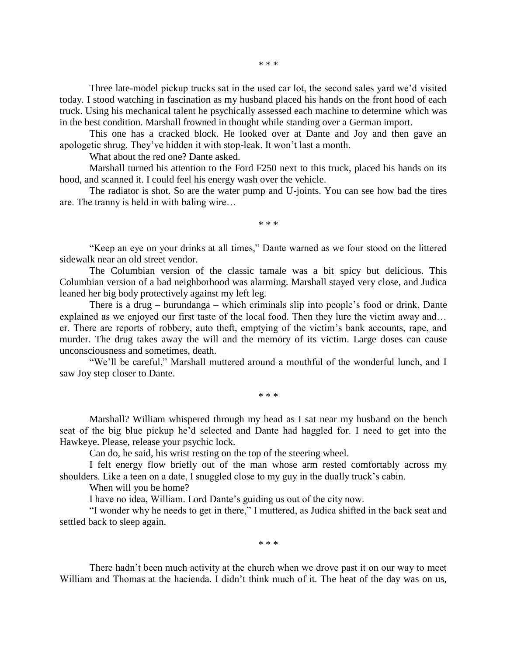\* \* \*

Three late-model pickup trucks sat in the used car lot, the second sales yard we'd visited today. I stood watching in fascination as my husband placed his hands on the front hood of each truck. Using his mechanical talent he psychically assessed each machine to determine which was in the best condition. Marshall frowned in thought while standing over a German import.

This one has a cracked block. He looked over at Dante and Joy and then gave an apologetic shrug. They've hidden it with stop-leak. It won't last a month.

What about the red one? Dante asked.

Marshall turned his attention to the Ford F250 next to this truck, placed his hands on its hood, and scanned it. I could feel his energy wash over the vehicle.

The radiator is shot. So are the water pump and U-joints. You can see how bad the tires are. The tranny is held in with baling wire…

\* \* \*

"Keep an eye on your drinks at all times," Dante warned as we four stood on the littered sidewalk near an old street vendor.

The Columbian version of the classic tamale was a bit spicy but delicious. This Columbian version of a bad neighborhood was alarming. Marshall stayed very close, and Judica leaned her big body protectively against my left leg.

There is a drug – burundanga – which criminals slip into people's food or drink, Dante explained as we enjoyed our first taste of the local food. Then they lure the victim away and… er. There are reports of robbery, auto theft, emptying of the victim's bank accounts, rape, and murder. The drug takes away the will and the memory of its victim. Large doses can cause unconsciousness and sometimes, death.

"We'll be careful," Marshall muttered around a mouthful of the wonderful lunch, and I saw Joy step closer to Dante.

\* \* \*

Marshall? William whispered through my head as I sat near my husband on the bench seat of the big blue pickup he'd selected and Dante had haggled for. I need to get into the Hawkeye. Please, release your psychic lock.

Can do, he said, his wrist resting on the top of the steering wheel.

I felt energy flow briefly out of the man whose arm rested comfortably across my shoulders. Like a teen on a date, I snuggled close to my guy in the dually truck's cabin.

When will you be home?

I have no idea, William. Lord Dante's guiding us out of the city now.

"I wonder why he needs to get in there," I muttered, as Judica shifted in the back seat and settled back to sleep again.

\* \* \*

There hadn't been much activity at the church when we drove past it on our way to meet William and Thomas at the hacienda. I didn't think much of it. The heat of the day was on us,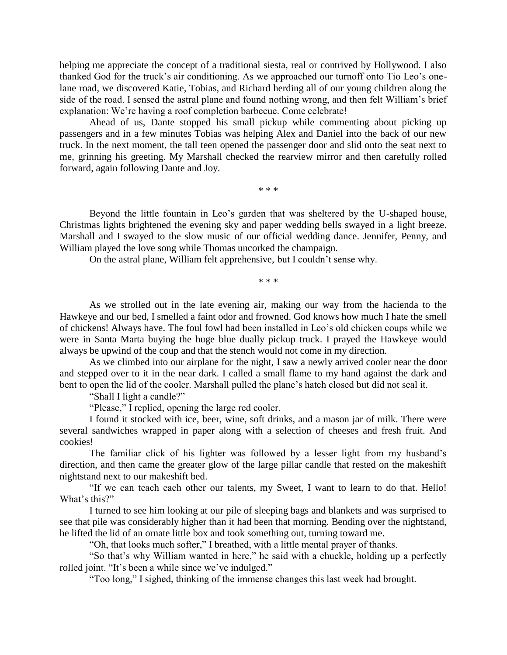helping me appreciate the concept of a traditional siesta, real or contrived by Hollywood. I also thanked God for the truck's air conditioning. As we approached our turnoff onto Tio Leo's onelane road, we discovered Katie, Tobias, and Richard herding all of our young children along the side of the road. I sensed the astral plane and found nothing wrong, and then felt William's brief explanation: We're having a roof completion barbecue. Come celebrate!

Ahead of us, Dante stopped his small pickup while commenting about picking up passengers and in a few minutes Tobias was helping Alex and Daniel into the back of our new truck. In the next moment, the tall teen opened the passenger door and slid onto the seat next to me, grinning his greeting. My Marshall checked the rearview mirror and then carefully rolled forward, again following Dante and Joy.

\* \* \*

Beyond the little fountain in Leo's garden that was sheltered by the U-shaped house, Christmas lights brightened the evening sky and paper wedding bells swayed in a light breeze. Marshall and I swayed to the slow music of our official wedding dance. Jennifer, Penny, and William played the love song while Thomas uncorked the champaign.

On the astral plane, William felt apprehensive, but I couldn't sense why.

\* \* \*

As we strolled out in the late evening air, making our way from the hacienda to the Hawkeye and our bed, I smelled a faint odor and frowned. God knows how much I hate the smell of chickens! Always have. The foul fowl had been installed in Leo's old chicken coups while we were in Santa Marta buying the huge blue dually pickup truck. I prayed the Hawkeye would always be upwind of the coup and that the stench would not come in my direction.

As we climbed into our airplane for the night, I saw a newly arrived cooler near the door and stepped over to it in the near dark. I called a small flame to my hand against the dark and bent to open the lid of the cooler. Marshall pulled the plane's hatch closed but did not seal it.

"Shall I light a candle?"

"Please," I replied, opening the large red cooler.

I found it stocked with ice, beer, wine, soft drinks, and a mason jar of milk. There were several sandwiches wrapped in paper along with a selection of cheeses and fresh fruit. And cookies!

The familiar click of his lighter was followed by a lesser light from my husband's direction, and then came the greater glow of the large pillar candle that rested on the makeshift nightstand next to our makeshift bed.

"If we can teach each other our talents, my Sweet, I want to learn to do that. Hello! What's this?"

I turned to see him looking at our pile of sleeping bags and blankets and was surprised to see that pile was considerably higher than it had been that morning. Bending over the nightstand, he lifted the lid of an ornate little box and took something out, turning toward me.

"Oh, that looks much softer," I breathed, with a little mental prayer of thanks.

"So that's why William wanted in here," he said with a chuckle, holding up a perfectly rolled joint. "It's been a while since we've indulged."

"Too long," I sighed, thinking of the immense changes this last week had brought.